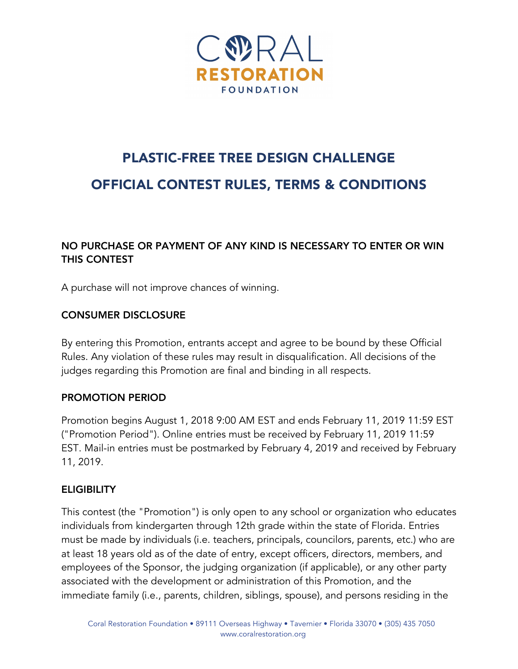

# PLASTIC-FREE TREE DESIGN CHALLENGE OFFICIAL CONTEST RULES, TERMS & CONDITIONS

## NO PURCHASE OR PAYMENT OF ANY KIND IS NECESSARY TO ENTER OR WIN THIS CONTEST

A purchase will not improve chances of winning.

## CONSUMER DISCLOSURE

By entering this Promotion, entrants accept and agree to be bound by these Official Rules. Any violation of these rules may result in disqualification. All decisions of the judges regarding this Promotion are final and binding in all respects.

### PROMOTION PERIOD

Promotion begins August 1, 2018 9:00 AM EST and ends February 11, 2019 11:59 EST ("Promotion Period"). Online entries must be received by February 11, 2019 11:59 EST. Mail-in entries must be postmarked by February 4, 2019 and received by February 11, 2019.

## **ELIGIBILITY**

This contest (the "Promotion") is only open to any school or organization who educates individuals from kindergarten through 12th grade within the state of Florida. Entries must be made by individuals (i.e. teachers, principals, councilors, parents, etc.) who are at least 18 years old as of the date of entry, except officers, directors, members, and employees of the Sponsor, the judging organization (if applicable), or any other party associated with the development or administration of this Promotion, and the immediate family (i.e., parents, children, siblings, spouse), and persons residing in the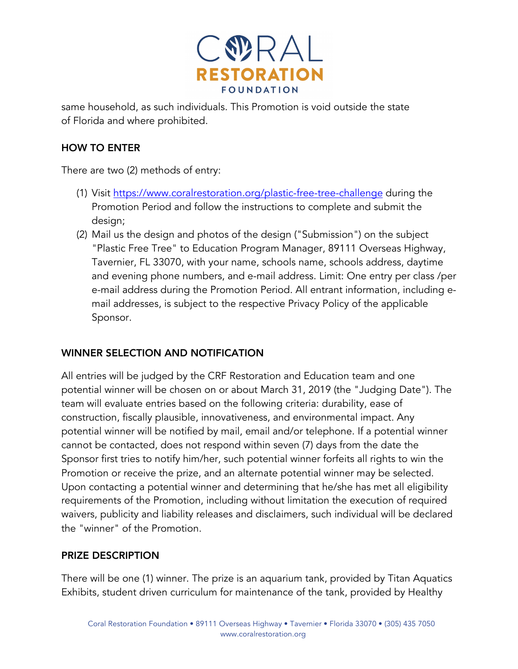

same household, as such individuals. This Promotion is void outside the state of Florida and where prohibited.

## HOW TO ENTER

There are two (2) methods of entry:

- (1) Visit https://www.coralrestoration.org/plastic-free-tree-challenge during the Promotion Period and follow the instructions to complete and submit the design;
- (2) Mail us the design and photos of the design ("Submission") on the subject "Plastic Free Tree" to Education Program Manager, 89111 Overseas Highway, Tavernier, FL 33070, with your name, schools name, schools address, daytime and evening phone numbers, and e-mail address. Limit: One entry per class /per e-mail address during the Promotion Period. All entrant information, including email addresses, is subject to the respective Privacy Policy of the applicable Sponsor.

## WINNER SELECTION AND NOTIFICATION

All entries will be judged by the CRF Restoration and Education team and one potential winner will be chosen on or about March 31, 2019 (the "Judging Date"). The team will evaluate entries based on the following criteria: durability, ease of construction, fiscally plausible, innovativeness, and environmental impact. Any potential winner will be notified by mail, email and/or telephone. If a potential winner cannot be contacted, does not respond within seven (7) days from the date the Sponsor first tries to notify him/her, such potential winner forfeits all rights to win the Promotion or receive the prize, and an alternate potential winner may be selected. Upon contacting a potential winner and determining that he/she has met all eligibility requirements of the Promotion, including without limitation the execution of required waivers, publicity and liability releases and disclaimers, such individual will be declared the "winner" of the Promotion.

### PRIZE DESCRIPTION

There will be one (1) winner. The prize is an aquarium tank, provided by Titan Aquatics Exhibits, student driven curriculum for maintenance of the tank, provided by Healthy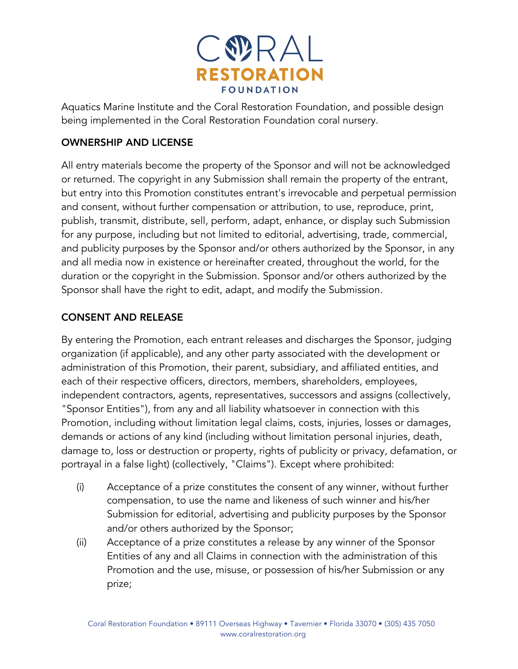

Aquatics Marine Institute and the Coral Restoration Foundation, and possible design being implemented in the Coral Restoration Foundation coral nursery.

## OWNERSHIP AND LICENSE

All entry materials become the property of the Sponsor and will not be acknowledged or returned. The copyright in any Submission shall remain the property of the entrant, but entry into this Promotion constitutes entrant's irrevocable and perpetual permission and consent, without further compensation or attribution, to use, reproduce, print, publish, transmit, distribute, sell, perform, adapt, enhance, or display such Submission for any purpose, including but not limited to editorial, advertising, trade, commercial, and publicity purposes by the Sponsor and/or others authorized by the Sponsor, in any and all media now in existence or hereinafter created, throughout the world, for the duration or the copyright in the Submission. Sponsor and/or others authorized by the Sponsor shall have the right to edit, adapt, and modify the Submission.

### CONSENT AND RELEASE

By entering the Promotion, each entrant releases and discharges the Sponsor, judging organization (if applicable), and any other party associated with the development or administration of this Promotion, their parent, subsidiary, and affiliated entities, and each of their respective officers, directors, members, shareholders, employees, independent contractors, agents, representatives, successors and assigns (collectively, "Sponsor Entities"), from any and all liability whatsoever in connection with this Promotion, including without limitation legal claims, costs, injuries, losses or damages, demands or actions of any kind (including without limitation personal injuries, death, damage to, loss or destruction or property, rights of publicity or privacy, defamation, or portrayal in a false light) (collectively, "Claims"). Except where prohibited:

- (i) Acceptance of a prize constitutes the consent of any winner, without further compensation, to use the name and likeness of such winner and his/her Submission for editorial, advertising and publicity purposes by the Sponsor and/or others authorized by the Sponsor;
- (ii) Acceptance of a prize constitutes a release by any winner of the Sponsor Entities of any and all Claims in connection with the administration of this Promotion and the use, misuse, or possession of his/her Submission or any prize;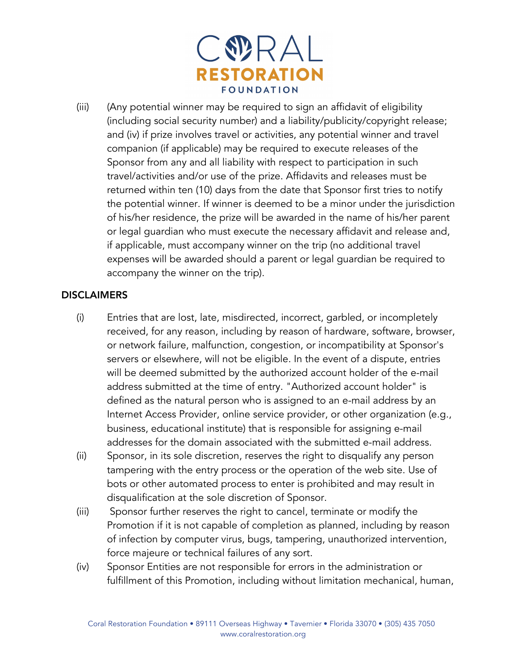

(iii) (Any potential winner may be required to sign an affidavit of eligibility (including social security number) and a liability/publicity/copyright release; and (iv) if prize involves travel or activities, any potential winner and travel companion (if applicable) may be required to execute releases of the Sponsor from any and all liability with respect to participation in such travel/activities and/or use of the prize. Affidavits and releases must be returned within ten (10) days from the date that Sponsor first tries to notify the potential winner. If winner is deemed to be a minor under the jurisdiction of his/her residence, the prize will be awarded in the name of his/her parent or legal guardian who must execute the necessary affidavit and release and, if applicable, must accompany winner on the trip (no additional travel expenses will be awarded should a parent or legal guardian be required to accompany the winner on the trip).

#### **DISCLAIMERS**

- (i) Entries that are lost, late, misdirected, incorrect, garbled, or incompletely received, for any reason, including by reason of hardware, software, browser, or network failure, malfunction, congestion, or incompatibility at Sponsor's servers or elsewhere, will not be eligible. In the event of a dispute, entries will be deemed submitted by the authorized account holder of the e-mail address submitted at the time of entry. "Authorized account holder" is defined as the natural person who is assigned to an e-mail address by an Internet Access Provider, online service provider, or other organization (e.g., business, educational institute) that is responsible for assigning e-mail addresses for the domain associated with the submitted e-mail address.
- (ii) Sponsor, in its sole discretion, reserves the right to disqualify any person tampering with the entry process or the operation of the web site. Use of bots or other automated process to enter is prohibited and may result in disqualification at the sole discretion of Sponsor.
- (iii) Sponsor further reserves the right to cancel, terminate or modify the Promotion if it is not capable of completion as planned, including by reason of infection by computer virus, bugs, tampering, unauthorized intervention, force majeure or technical failures of any sort.
- (iv) Sponsor Entities are not responsible for errors in the administration or fulfillment of this Promotion, including without limitation mechanical, human,